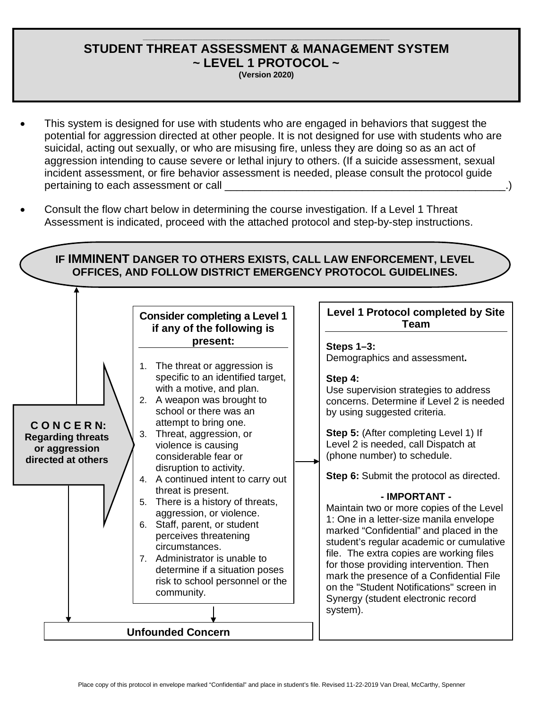## **\_\_\_\_\_\_\_\_\_\_\_\_\_\_\_\_\_\_\_\_\_\_\_\_\_\_\_\_\_\_\_\_\_\_\_\_\_\_\_\_\_\_\_\_\_\_\_\_\_\_\_\_\_\_\_\_\_\_\_\_\_\_ STUDENT THREAT ASSESSMENT & MANAGEMENT SYSTEM ~ LEVEL 1 PROTOCOL ~**

**(Version 2020)**

- This system is designed for use with students who are engaged in behaviors that suggest the potential for aggression directed at other people. It is not designed for use with students who are suicidal, acting out sexually, or who are misusing fire, unless they are doing so as an act of aggression intending to cause severe or lethal injury to others. (If a suicide assessment, sexual incident assessment, or fire behavior assessment is needed, please consult the protocol guide pertaining to each assessment or call
- Consult the flow chart below in determining the course investigation. If a Level 1 Threat Assessment is indicated, proceed with the attached protocol and step-by-step instructions.

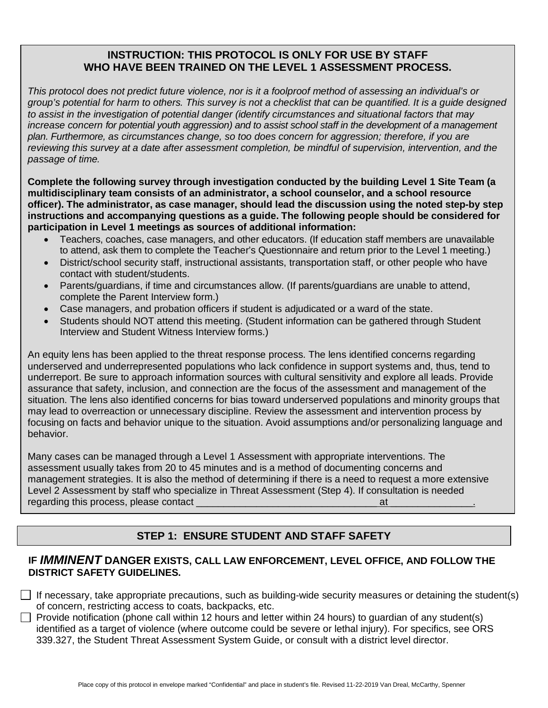## **INSTRUCTION: THIS PROTOCOL IS ONLY FOR USE BY STAFF WHO HAVE BEEN TRAINED ON THE LEVEL 1 ASSESSMENT PROCESS.**

*This protocol does not predict future violence, nor is it a foolproof method of assessing an individual's or group's potential for harm to others. This survey is not a checklist that can be quantified. It is a guide designed to assist in the investigation of potential danger (identify circumstances and situational factors that may increase concern for potential youth aggression) and to assist school staff in the development of a management plan. Furthermore, as circumstances change, so too does concern for aggression; therefore, if you are reviewing this survey at a date after assessment completion, be mindful of supervision, intervention, and the passage of time.*

**Complete the following survey through investigation conducted by the building Level 1 Site Team (a multidisciplinary team consists of an administrator, a school counselor, and a school resource officer). The administrator, as case manager, should lead the discussion using the noted step-by step instructions and accompanying questions as a guide. The following people should be considered for participation in Level 1 meetings as sources of additional information:**

- Teachers, coaches, case managers, and other educators. (If education staff members are unavailable to attend, ask them to complete the Teacher's Questionnaire and return prior to the Level 1 meeting.)
- District/school security staff, instructional assistants, transportation staff, or other people who have contact with student/students.
- Parents/guardians, if time and circumstances allow. (If parents/guardians are unable to attend, complete the Parent Interview form.)
- Case managers, and probation officers if student is adjudicated or a ward of the state.
- Students should NOT attend this meeting. (Student information can be gathered through Student Interview and Student Witness Interview forms.)

An equity lens has been applied to the threat response process. The lens identified concerns regarding underserved and underrepresented populations who lack confidence in support systems and, thus, tend to underreport. Be sure to approach information sources with cultural sensitivity and explore all leads. Provide assurance that safety, inclusion, and connection are the focus of the assessment and management of the situation. The lens also identified concerns for bias toward underserved populations and minority groups that may lead to overreaction or unnecessary discipline. Review the assessment and intervention process by focusing on facts and behavior unique to the situation. Avoid assumptions and/or personalizing language and behavior.

Many cases can be managed through a Level 1 Assessment with appropriate interventions. The assessment usually takes from 20 to 45 minutes and is a method of documenting concerns and management strategies. It is also the method of determining if there is a need to request a more extensive Level 2 Assessment by staff who specialize in Threat Assessment (Step 4). If consultation is needed regarding this process, please contact \_\_\_\_\_\_\_\_\_\_\_\_\_\_\_\_\_\_\_\_\_\_\_\_\_\_\_\_\_\_\_\_\_ at \_\_\_\_\_\_\_\_\_\_\_\_\_\_\_.

# **STEP 1: ENSURE STUDENT AND STAFF SAFETY**

## **IF** *IMMINENT* **DANGER EXISTS, CALL LAW ENFORCEMENT, LEVEL OFFICE, AND FOLLOW THE DISTRICT SAFETY GUIDELINES.**

If necessary, take appropriate precautions, such as building-wide security measures or detaining the student(s) of concern, restricting access to coats, backpacks, etc.

Provide notification (phone call within 12 hours and letter within 24 hours) to quardian of any student(s) identified as a target of violence (where outcome could be severe or lethal injury). For specifics, see ORS 339.327, the Student Threat Assessment System Guide, or consult with a district level director.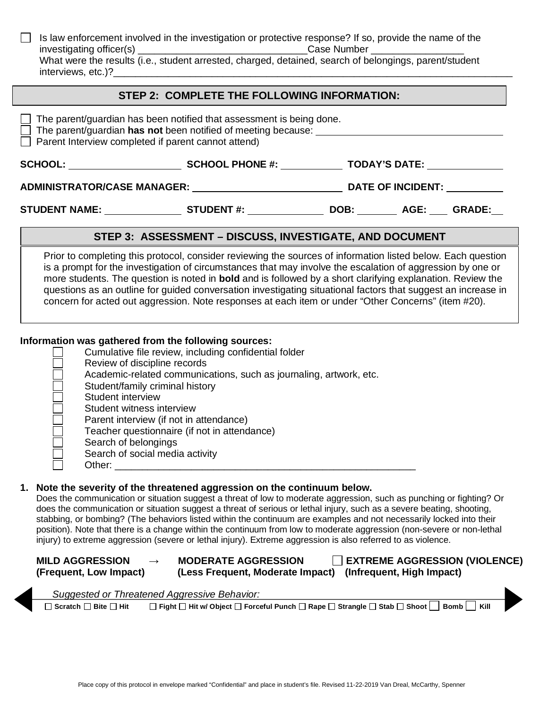Is law enforcement involved in the investigation or protective response? If so, provide the name of the investigation or protective response? If so, provide the name of the investigation or protective Case Number investigating officer(s) What were the results (i.e., student arrested, charged, detained, search of belongings, parent/student interviews, etc.)?

### **STEP 2: COMPLETE THE FOLLOWING INFORMATION:**

| $\Box$ The parent/guardian has been notified that assessment is being done.<br>$\Box$ The parent/guardian has not been notified of meeting because:<br>$\Box$ Parent Interview completed if parent cannot attend) |                                                                                                              |  |                          |  |  |
|-------------------------------------------------------------------------------------------------------------------------------------------------------------------------------------------------------------------|--------------------------------------------------------------------------------------------------------------|--|--------------------------|--|--|
|                                                                                                                                                                                                                   | SCHOOL: SCHOOL PHONE #:                                                                                      |  | <b>TODAY'S DATE:</b>     |  |  |
| ADMINISTRATOR/CASE MANAGER:                                                                                                                                                                                       |                                                                                                              |  | <b>DATE OF INCIDENT:</b> |  |  |
|                                                                                                                                                                                                                   | STUDENT NAME: STUDENT #: DOB: AGE: GRADE:                                                                    |  |                          |  |  |
| STEP 3: ASSESSMENT - DISCUSS, INVESTIGATE, AND DOCUMENT                                                                                                                                                           |                                                                                                              |  |                          |  |  |
|                                                                                                                                                                                                                   | Prior to completing this protocol, consider reviewing the sources of information listed below. Each question |  |                          |  |  |

is a prompt for the investigation of circumstances that may involve the escalation of aggression by one or more students. The question is noted in **bold** and is followed by a short clarifying explanation. Review the questions as an outline for guided conversation investigating situational factors that suggest an increase in concern for acted out aggression. Note responses at each item or under "Other Concerns" (item #20).

#### **Information was gathered from the following sources:**

| Cumulative file review, including confidential folder              |
|--------------------------------------------------------------------|
| Review of discipline records                                       |
| Academic-related communications, such as journaling, artwork, etc. |
| Student/family criminal history                                    |
| Student interview                                                  |
| Student witness interview                                          |
| Parent interview (if not in attendance)                            |
| Teacher questionnaire (if not in attendance)                       |
| Search of belongings                                               |
| Search of social media activity                                    |
| Other:                                                             |

### **1. Note the severity of the threatened aggression on the continuum below.**

Does the communication or situation suggest a threat of low to moderate aggression, such as punching or fighting? Or does the communication or situation suggest a threat of serious or lethal injury, such as a severe beating, shooting, stabbing, or bombing? (The behaviors listed within the continuum are examples and not necessarily locked into their position). Note that there is a change within the continuum from low to moderate aggression (non-severe or non-lethal injury) to extreme aggression (severe or lethal injury). Extreme aggression is also referred to as violence.

| <b>MILD AGGRESSION</b> | <b>MODERATE AGGRESSION</b>                                 | $\Box$ EXTREME AGGRESSION (VIOLENCE) |
|------------------------|------------------------------------------------------------|--------------------------------------|
| (Frequent, Low Impact) | (Less Frequent, Moderate Impact) (Infrequent, High Impact) |                                      |

|                                       | Suggested or Threatened Aggressive Behavior:                                                              |
|---------------------------------------|-----------------------------------------------------------------------------------------------------------|
| $\Box$ Scratch $\Box$ Bite $\Box$ Hit | $□$ Fight $□$ Hit w/ Object $□$ Forceful Punch $□$ Rape $□$ Strangle $□$ Stab $□$ Shoot $□$ Bomb $□$ Kill |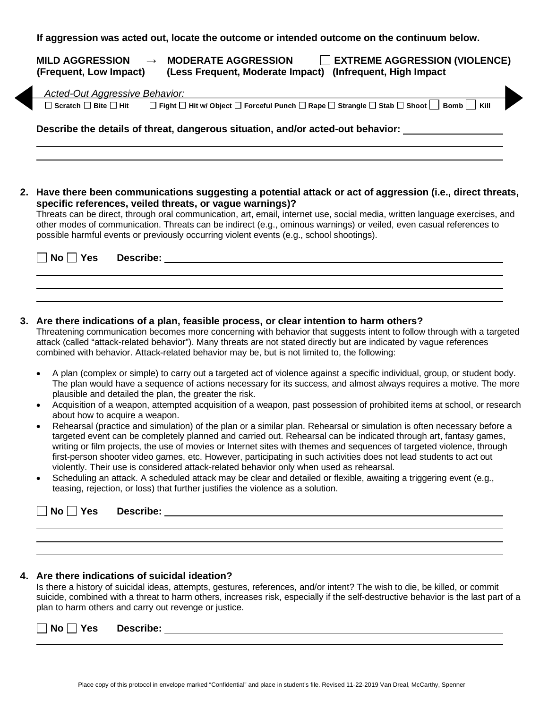| <b>EXTREME AGGRESSION (VIOLENCE)</b><br><b>MILD AGGRESSION</b><br><b>MODERATE AGGRESSION</b><br>(Infrequent, High Impact)<br>(Frequent, Low Impact)<br>(Less Frequent, Moderate Impact) |
|-----------------------------------------------------------------------------------------------------------------------------------------------------------------------------------------|
| <b>Acted-Out Aggressive Behavior:</b>                                                                                                                                                   |
| □ Fight □ Hit w/ Object □ Forceful Punch □ Rape □ Strangle □ Stab □ Shoot □ Bomb □ Kill<br>$\Box$ Scratch $\Box$ Bite $\Box$ Hit                                                        |
| Describe the details of threat, dangerous situation, and/or acted-out behavior:                                                                                                         |
| 2. Have there been communications suggesting a potential attack or act of aggression (i.e., direct threats,<br>specific references, veiled threats, or vague warnings)?                 |

Threats can be direct, through oral communication, art, email, internet use, social media, written language exercises, and other modes of communication. Threats can be indirect (e.g., ominous warnings) or veiled, even casual references to possible harmful events or previously occurring violent events (e.g., school shootings).

| $\Box$ No $\Box$ Yes Describe: |  |
|--------------------------------|--|
|                                |  |

#### **3. Are there indications of a plan, feasible process, or clear intention to harm others?**

Threatening communication becomes more concerning with behavior that suggests intent to follow through with a targeted attack (called "attack-related behavior"). Many threats are not stated directly but are indicated by vague references combined with behavior. Attack-related behavior may be, but is not limited to, the following:

- A plan (complex or simple) to carry out a targeted act of violence against a specific individual, group, or student body. The plan would have a sequence of actions necessary for its success, and almost always requires a motive. The more plausible and detailed the plan, the greater the risk.
- Acquisition of a weapon, attempted acquisition of a weapon, past possession of prohibited items at school, or research about how to acquire a weapon.
- Rehearsal (practice and simulation) of the plan or a similar plan. Rehearsal or simulation is often necessary before a targeted event can be completely planned and carried out. Rehearsal can be indicated through art, fantasy games, writing or film projects, the use of movies or Internet sites with themes and sequences of targeted violence, through first-person shooter video games, etc. However, participating in such activities does not lead students to act out violently. Their use is considered attack-related behavior only when used as rehearsal.
- Scheduling an attack. A scheduled attack may be clear and detailed or flexible, awaiting a triggering event (e.g., teasing, rejection, or loss) that further justifies the violence as a solution.

| □ No □ Yes Describe: |  |
|----------------------|--|
|                      |  |
|                      |  |

#### **4. Are there indications of suicidal ideation?**

Is there a history of suicidal ideas, attempts, gestures, references, and/or intent? The wish to die, be killed, or commit suicide, combined with a threat to harm others, increases risk, especially if the self-destructive behavior is the last part of a plan to harm others and carry out revenge or justice.

| Nο<br><b>Yes</b> | $\sim$<br>Describe: |  |
|------------------|---------------------|--|
|                  |                     |  |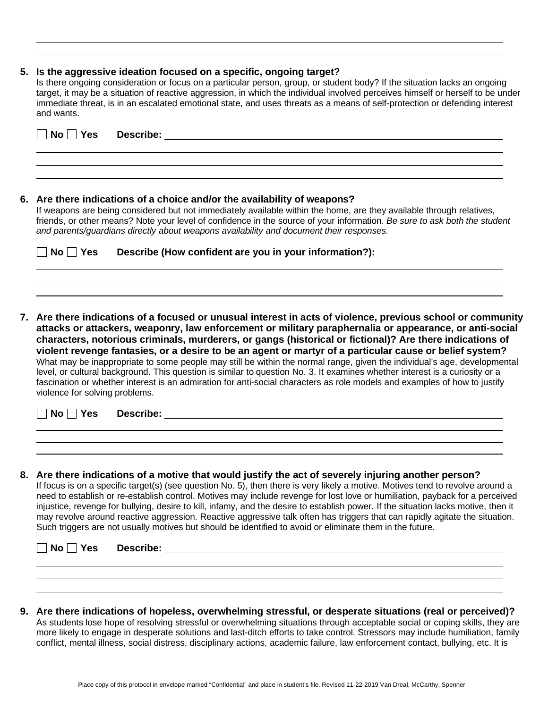#### **5. Is the aggressive ideation focused on a specific, ongoing target?**

Is there ongoing consideration or focus on a particular person, group, or student body? If the situation lacks an ongoing target, it may be a situation of reactive aggression, in which the individual involved perceives himself or herself to be under immediate threat, is in an escalated emotional state, and uses threats as a means of self-protection or defending interest and wants.

| No.<br>Yes<br><b>Describe:</b>                                                                                                                                                                                                                                                                                                                                                                                           |
|--------------------------------------------------------------------------------------------------------------------------------------------------------------------------------------------------------------------------------------------------------------------------------------------------------------------------------------------------------------------------------------------------------------------------|
|                                                                                                                                                                                                                                                                                                                                                                                                                          |
| 6. Are there indications of a choice and/or the availability of weapons?<br>If weapons are being considered but not immediately available within the home, are they available through relatives,<br>friends, or other means? Note your level of confidence in the source of your information. Be sure to ask both the student<br>and parents/quardians directly about weapons availability and document their responses. |
| Describe (How confident are you in your information?): _<br>No l<br>Yes                                                                                                                                                                                                                                                                                                                                                  |

**7. Are there indications of a focused or unusual interest in acts of violence, previous school or community attacks or attackers, weaponry, law enforcement or military paraphernalia or appearance, or anti-social characters, notorious criminals, murderers, or gangs (historical or fictional)? Are there indications of violent revenge fantasies, or a desire to be an agent or martyr of a particular cause or belief system?** What may be inappropriate to some people may still be within the normal range, given the individual's age, developmental level, or cultural background. This question is similar to question No. 3. It examines whether interest is a curiosity or a fascination or whether interest is an admiration for anti-social characters as role models and examples of how to justify violence for solving problems.

| $\Box$ No $\Box$<br>│Yes | Describe: |  |
|--------------------------|-----------|--|
|                          |           |  |

**8. Are there indications of a motive that would justify the act of severely injuring another person?** If focus is on a specific target(s) (see question No. 5), then there is very likely a motive. Motives tend to revolve around a need to establish or re-establish control. Motives may include revenge for lost love or humiliation, payback for a perceived injustice, revenge for bullying, desire to kill, infamy, and the desire to establish power. If the situation lacks motive, then it may revolve around reactive aggression. Reactive aggressive talk often has triggers that can rapidly agitate the situation. Such triggers are not usually motives but should be identified to avoid or eliminate them in the future.

| $\neg$ No $\neg$ . | $\exists$ Yes Describe: |  |  |  |
|--------------------|-------------------------|--|--|--|
|                    |                         |  |  |  |
|                    |                         |  |  |  |

**9. Are there indications of hopeless, overwhelming stressful, or desperate situations (real or perceived)?** As students lose hope of resolving stressful or overwhelming situations through acceptable social or coping skills, they are more likely to engage in desperate solutions and last-ditch efforts to take control. Stressors may include humiliation, family conflict, mental illness, social distress, disciplinary actions, academic failure, law enforcement contact, bullying, etc. It is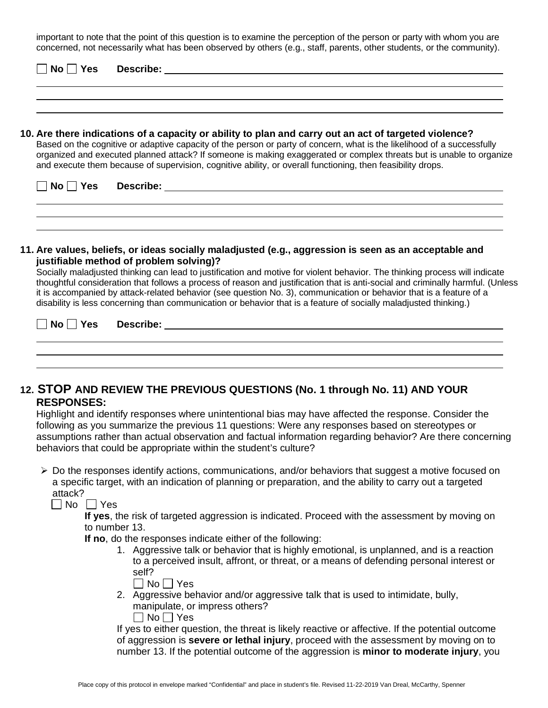important to note that the point of this question is to examine the perception of the person or party with whom you are concerned, not necessarily what has been observed by others (e.g., staff, parents, other students, or the community).

|          | 10. Are there indications of a capacity or ability to plan and carry out an act of targeted violence?<br>Based on the cognitive or adaptive capacity of the person or party of concern, what is the likelihood of a successfully<br>organized and executed planned attack? If someone is making exaggerated or complex threats but is unable to organize<br>and execute them because of supervision, cognitive ability, or overall functioning, then feasibility drops. |  |  |
|----------|-------------------------------------------------------------------------------------------------------------------------------------------------------------------------------------------------------------------------------------------------------------------------------------------------------------------------------------------------------------------------------------------------------------------------------------------------------------------------|--|--|
| No   Yes |                                                                                                                                                                                                                                                                                                                                                                                                                                                                         |  |  |
|          |                                                                                                                                                                                                                                                                                                                                                                                                                                                                         |  |  |

Socially maladjusted thinking can lead to justification and motive for violent behavior. The thinking process will indicate thoughtful consideration that follows a process of reason and justification that is anti-social and criminally harmful. (Unless it is accompanied by attack-related behavior (see question No. 3), communication or behavior that is a feature of a disability is less concerning than communication or behavior that is a feature of socially maladjusted thinking.)

| $\overline{\phantom{a}}$ No $\overline{\phantom{a}}$ Yes | Describe: |  |
|----------------------------------------------------------|-----------|--|
|                                                          |           |  |

## **12. STOP AND REVIEW THE PREVIOUS QUESTIONS (No. 1 through No. 11) AND YOUR RESPONSES:**

Highlight and identify responses where unintentional bias may have affected the response. Consider the following as you summarize the previous 11 questions: Were any responses based on stereotypes or assumptions rather than actual observation and factual information regarding behavior? Are there concerning behaviors that could be appropriate within the student's culture?

 $\triangleright$  Do the responses identify actions, communications, and/or behaviors that suggest a motive focused on a specific target, with an indication of planning or preparation, and the ability to carry out a targeted attack?

 $\Box$  No  $\Box$  Yes

**If yes**, the risk of targeted aggression is indicated. Proceed with the assessment by moving on to number 13.

**If no**, do the responses indicate either of the following:

1. Aggressive talk or behavior that is highly emotional, is unplanned, and is a reaction to a perceived insult, affront, or threat, or a means of defending personal interest or self?

| חצ | --<br>١ |
|----|---------|
|----|---------|

2. Aggressive behavior and/or aggressive talk that is used to intimidate, bully, manipulate, or impress others?  $\Box$  No  $\Box$  Yes

If yes to either question, the threat is likely reactive or affective. If the potential outcome of aggression is **severe or lethal injury**, proceed with the assessment by moving on to number 13. If the potential outcome of the aggression is **minor to moderate injury**, you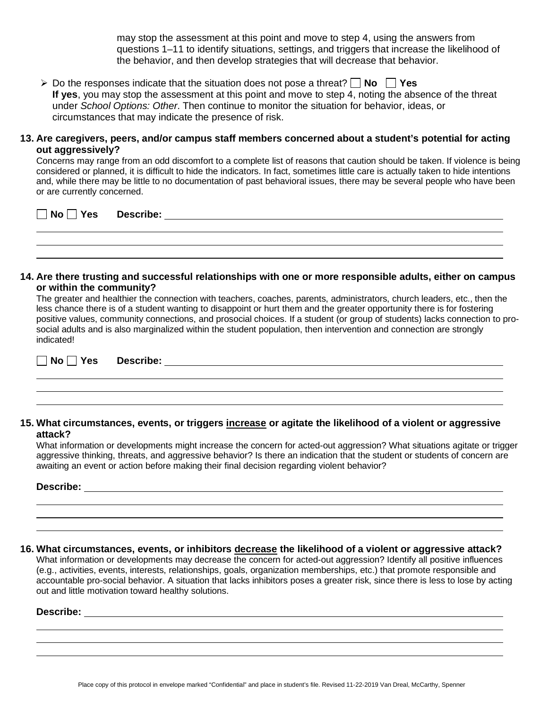may stop the assessment at this point and move to step 4, using the answers from questions 1–11 to identify situations, settings, and triggers that increase the likelihood of the behavior, and then develop strategies that will decrease that behavior.

 $\triangleright$  Do the responses indicate that the situation does not pose a threat?  $\Box$  No  $\Box$  Yes **If yes**, you may stop the assessment at this point and move to step 4, noting the absence of the threat under *School Options: Other*. Then continue to monitor the situation for behavior, ideas, or circumstances that may indicate the presence of risk.

### **13. Are caregivers, peers, and/or campus staff members concerned about a student's potential for acting out aggressively?**

Concerns may range from an odd discomfort to a complete list of reasons that caution should be taken. If violence is being considered or planned, it is difficult to hide the indicators. In fact, sometimes little care is actually taken to hide intentions and, while there may be little to no documentation of past behavioral issues, there may be several people who have been or are currently concerned.

| No II<br>l Yes | Describe: |  |
|----------------|-----------|--|
|                |           |  |

#### **14. Are there trusting and successful relationships with one or more responsible adults, either on campus or within the community?**

The greater and healthier the connection with teachers, coaches, parents, administrators, church leaders, etc., then the less chance there is of a student wanting to disappoint or hurt them and the greater opportunity there is for fostering positive values, community connections, and prosocial choices. If a student (or group of students) lacks connection to prosocial adults and is also marginalized within the student population, then intervention and connection are strongly indicated!

**No Yes Describe:**

### **15. What circumstances, events, or triggers increase or agitate the likelihood of a violent or aggressive attack?**

What information or developments might increase the concern for acted-out aggression? What situations agitate or trigger aggressive thinking, threats, and aggressive behavior? Is there an indication that the student or students of concern are awaiting an event or action before making their final decision regarding violent behavior?

#### **Describe:**

**16. What circumstances, events, or inhibitors decrease the likelihood of a violent or aggressive attack?**

What information or developments may decrease the concern for acted-out aggression? Identify all positive influences (e.g., activities, events, interests, relationships, goals, organization memberships, etc.) that promote responsible and accountable pro-social behavior. A situation that lacks inhibitors poses a greater risk, since there is less to lose by acting out and little motivation toward healthy solutions.

### **Describe:**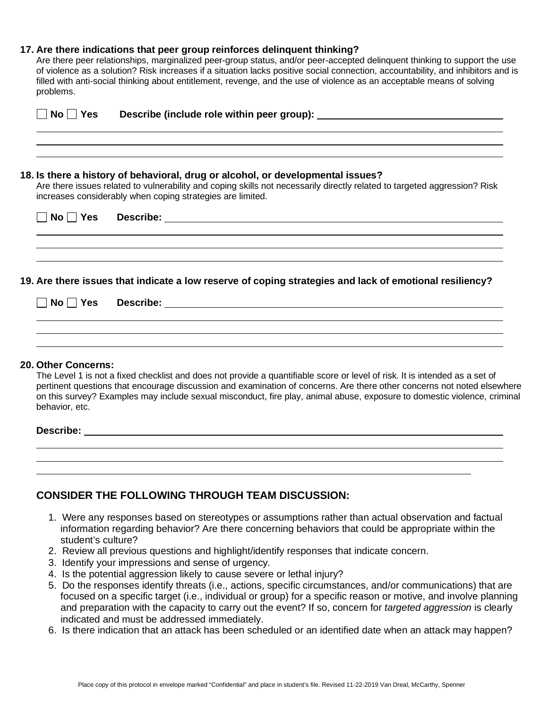### **17. Are there indications that peer group reinforces delinquent thinking?**

Are there peer relationships, marginalized peer-group status, and/or peer-accepted delinquent thinking to support the use of violence as a solution? Risk increases if a situation lacks positive social connection, accountability, and inhibitors and is filled with anti-social thinking about entitlement, revenge, and the use of violence as an acceptable means of solving problems.

| $No \mid \exists Yes$ |                                                                                                                                                                                                                                                                            |
|-----------------------|----------------------------------------------------------------------------------------------------------------------------------------------------------------------------------------------------------------------------------------------------------------------------|
|                       | 18. Is there a history of behavioral, drug or alcohol, or developmental issues?<br>Are there issues related to vulnerability and coping skills not necessarily directly related to targeted aggression? Risk<br>increases considerably when coping strategies are limited. |
| $No \mid \exists Yes$ |                                                                                                                                                                                                                                                                            |
|                       | 19. Are there issues that indicate a low reserve of coping strategies and lack of emotional resiliency?                                                                                                                                                                    |
| $No \mid \vert Yes$   |                                                                                                                                                                                                                                                                            |
|                       |                                                                                                                                                                                                                                                                            |

#### **20. Other Concerns:**

The Level 1 is not a fixed checklist and does not provide a quantifiable score or level of risk. It is intended as a set of pertinent questions that encourage discussion and examination of concerns. Are there other concerns not noted elsewhere on this survey? Examples may include sexual misconduct, fire play, animal abuse, exposure to domestic violence, criminal behavior, etc.

#### **Describe:**

|  |  | ,我们也不会不会不会。""我们的,我们也不会不会不会不会。""我们的,我们也不会不会不会不会不会。""我们的,我们也不会不会不会不会。""我们的,我们也不会不会 |  |
|--|--|----------------------------------------------------------------------------------|--|
|  |  |                                                                                  |  |
|  |  |                                                                                  |  |
|  |  |                                                                                  |  |
|  |  |                                                                                  |  |
|  |  |                                                                                  |  |
|  |  |                                                                                  |  |
|  |  |                                                                                  |  |

## **CONSIDER THE FOLLOWING THROUGH TEAM DISCUSSION:**

- 1. Were any responses based on stereotypes or assumptions rather than actual observation and factual information regarding behavior? Are there concerning behaviors that could be appropriate within the student's culture?
- 2. Review all previous questions and highlight/identify responses that indicate concern.
- 3. Identify your impressions and sense of urgency.
- 4. Is the potential aggression likely to cause severe or lethal injury?
- 5. Do the responses identify threats (i.e., actions, specific circumstances, and/or communications) that are focused on a specific target (i.e., individual or group) for a specific reason or motive, and involve planning and preparation with the capacity to carry out the event? If so, concern for *targeted aggression* is clearly indicated and must be addressed immediately.
- 6. Is there indication that an attack has been scheduled or an identified date when an attack may happen?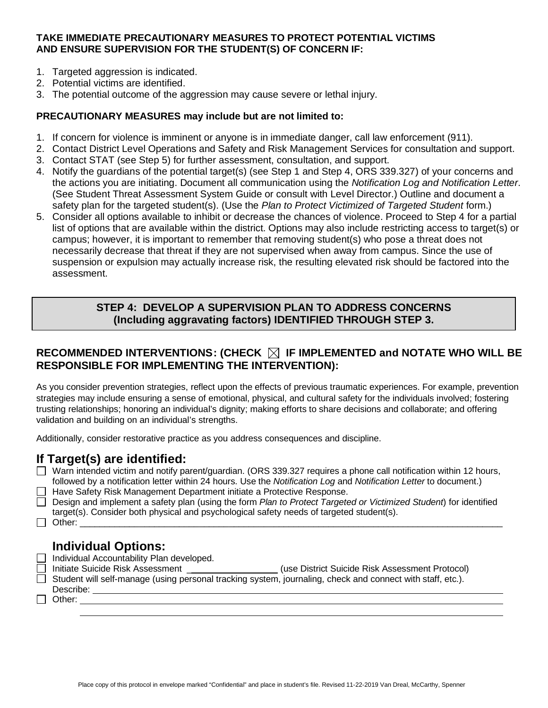### **TAKE IMMEDIATE PRECAUTIONARY MEASURES TO PROTECT POTENTIAL VICTIMS AND ENSURE SUPERVISION FOR THE STUDENT(S) OF CONCERN IF:**

- 1. Targeted aggression is indicated.
- 2. Potential victims are identified.
- 3. The potential outcome of the aggression may cause severe or lethal injury.

### **PRECAUTIONARY MEASURES may include but are not limited to:**

- 1. If concern for violence is imminent or anyone is in immediate danger, call law enforcement (911).
- 2. Contact District Level Operations and Safety and Risk Management Services for consultation and support.
- 3. Contact STAT (see Step 5) for further assessment, consultation, and support.
- 4. Notify the guardians of the potential target(s) (see Step 1 and Step 4, ORS 339.327) of your concerns and the actions you are initiating. Document all communication using the *Notification Log and Notification Letter*. (See Student Threat Assessment System Guide or consult with Level Director.) Outline and document a safety plan for the targeted student(s). (Use the *Plan to Protect Victimized of Targeted Student* form.)
- 5. Consider all options available to inhibit or decrease the chances of violence. Proceed to Step 4 for a partial list of options that are available within the district. Options may also include restricting access to target(s) or campus; however, it is important to remember that removing student(s) who pose a threat does not necessarily decrease that threat if they are not supervised when away from campus. Since the use of suspension or expulsion may actually increase risk, the resulting elevated risk should be factored into the assessment.

## **STEP 4: DEVELOP A SUPERVISION PLAN TO ADDRESS CONCERNS (Including aggravating factors) IDENTIFIED THROUGH STEP 3.**

## **RECOMMENDED INTERVENTIONS: (CHECK IF IMPLEMENTED and NOTATE WHO WILL BE RESPONSIBLE FOR IMPLEMENTING THE INTERVENTION):**

As you consider prevention strategies, reflect upon the effects of previous traumatic experiences. For example, prevention strategies may include ensuring a sense of emotional, physical, and cultural safety for the individuals involved; fostering trusting relationships; honoring an individual's dignity; making efforts to share decisions and collaborate; and offering validation and building on an individual's strengths.

Additionally, consider restorative practice as you address consequences and discipline.

## **If Target(s) are identified:**

| Warn intended victim and notify parent/guardian. (ORS 339.327 requires a phone call notification within 12 hours, |
|-------------------------------------------------------------------------------------------------------------------|
| followed by a notification letter within 24 hours. Use the Notification Log and Notification Letter to document.) |
| $\Box$ Hous Sofety Diek Menogement Department initiate a Protective Beenenge                                      |

- Have Safety Risk Management Department initiate a Protective Response.
- Design and implement a safety plan (using the form *Plan to Protect Targeted or Victimized Student*) for identified target(s). Consider both physical and psychological safety needs of targeted student(s).
- $\Box$  Other:

# **Individual Options:**

- 
- □ Individual Accountability Plan developed.<br>□ Initiate Suicide Risk Assessment \_\_\_\_\_\_\_ (use District Suicide Risk Assessment Protocol)
- $\Box$  Student will self-manage (using personal tracking system, journaling, check and connect with staff, etc.).

Describe: □ Other: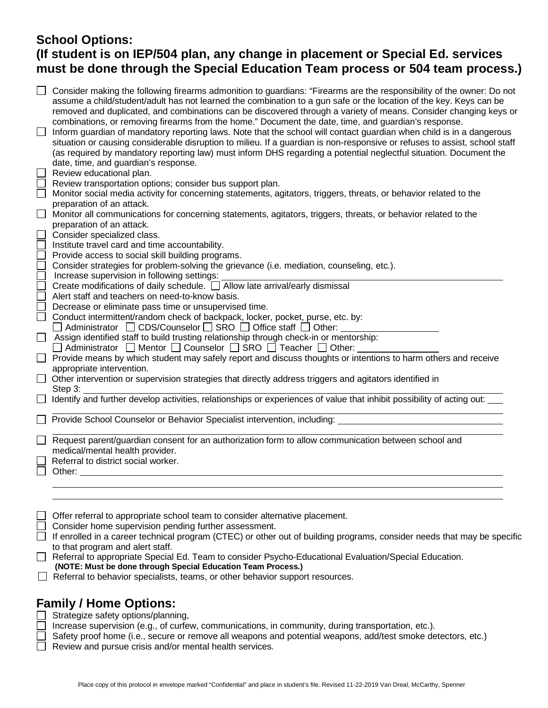# **School Options: (If student is on IEP/504 plan, any change in placement or Special Ed. services must be done through the Special Education Team process or 504 team process.)**

| Consider making the following firearms admonition to guardians: "Firearms are the responsibility of the owner: Do not<br>assume a child/student/adult has not learned the combination to a gun safe or the location of the key. Keys can be<br>removed and duplicated, and combinations can be discovered through a variety of means. Consider changing keys or<br>combinations, or removing firearms from the home." Document the date, time, and guardian's response.<br>Inform guardian of mandatory reporting laws. Note that the school will contact guardian when child is in a dangerous<br>situation or causing considerable disruption to milieu. If a guardian is non-responsive or refuses to assist, school staff<br>(as required by mandatory reporting law) must inform DHS regarding a potential neglectful situation. Document the<br>date, time, and guardian's response.<br>Review educational plan.<br>Review transportation options; consider bus support plan.<br>Monitor social media activity for concerning statements, agitators, triggers, threats, or behavior related to the<br>preparation of an attack.<br>Monitor all communications for concerning statements, agitators, triggers, threats, or behavior related to the<br>preparation of an attack.<br>Consider specialized class.<br>Institute travel card and time accountability.<br>Provide access to social skill building programs.<br>Consider strategies for problem-solving the grievance (i.e. mediation, counseling, etc.).<br>Increase supervision in following settings:<br>Create modifications of daily schedule. □ Allow late arrival/early dismissal<br>Alert staff and teachers on need-to-know basis.<br>Decrease or eliminate pass time or unsupervised time.<br>Conduct intermittent/random check of backpack, locker, pocket, purse, etc. by:<br>Administrator $\Box$ CDS/Counselor $\Box$ SRO $\Box$ Office staff $\Box$ Other:<br>Assign identified staff to build trusting relationship through check-in or mentorship:<br>$\Box$ Administrator $\Box$ Mentor $\Box$ Counselor $\Box$ SRO $\Box$ Teacher $\Box$ Other:<br>Provide means by which student may safely report and discuss thoughts or intentions to harm others and receive<br>appropriate intervention.<br>Other intervention or supervision strategies that directly address triggers and agitators identified in<br>Step $3:$<br>Step 3.<br>Identify and further develop activities, relationships or experiences of value that inhibit possibility of acting out:<br>Provide School Counselor or Behavior Specialist intervention, including: Letterman and the state of the state of<br>Request parent/guardian consent for an authorization form to allow communication between school and<br>medical/mental health provider. |
|------------------------------------------------------------------------------------------------------------------------------------------------------------------------------------------------------------------------------------------------------------------------------------------------------------------------------------------------------------------------------------------------------------------------------------------------------------------------------------------------------------------------------------------------------------------------------------------------------------------------------------------------------------------------------------------------------------------------------------------------------------------------------------------------------------------------------------------------------------------------------------------------------------------------------------------------------------------------------------------------------------------------------------------------------------------------------------------------------------------------------------------------------------------------------------------------------------------------------------------------------------------------------------------------------------------------------------------------------------------------------------------------------------------------------------------------------------------------------------------------------------------------------------------------------------------------------------------------------------------------------------------------------------------------------------------------------------------------------------------------------------------------------------------------------------------------------------------------------------------------------------------------------------------------------------------------------------------------------------------------------------------------------------------------------------------------------------------------------------------------------------------------------------------------------------------------------------------------------------------------------------------------------------------------------------------------------------------------------------------------------------------------------------------------------------------------------------------------------------------------------------------------------------------------------------------------------------------------------------------------------------------------------------------------------------------------------------------------------------------------------------------------------------------------------------|
| Referral to district social worker.<br>Other:                                                                                                                                                                                                                                                                                                                                                                                                                                                                                                                                                                                                                                                                                                                                                                                                                                                                                                                                                                                                                                                                                                                                                                                                                                                                                                                                                                                                                                                                                                                                                                                                                                                                                                                                                                                                                                                                                                                                                                                                                                                                                                                                                                                                                                                                                                                                                                                                                                                                                                                                                                                                                                                                                                                                                              |
|                                                                                                                                                                                                                                                                                                                                                                                                                                                                                                                                                                                                                                                                                                                                                                                                                                                                                                                                                                                                                                                                                                                                                                                                                                                                                                                                                                                                                                                                                                                                                                                                                                                                                                                                                                                                                                                                                                                                                                                                                                                                                                                                                                                                                                                                                                                                                                                                                                                                                                                                                                                                                                                                                                                                                                                                            |
|                                                                                                                                                                                                                                                                                                                                                                                                                                                                                                                                                                                                                                                                                                                                                                                                                                                                                                                                                                                                                                                                                                                                                                                                                                                                                                                                                                                                                                                                                                                                                                                                                                                                                                                                                                                                                                                                                                                                                                                                                                                                                                                                                                                                                                                                                                                                                                                                                                                                                                                                                                                                                                                                                                                                                                                                            |
|                                                                                                                                                                                                                                                                                                                                                                                                                                                                                                                                                                                                                                                                                                                                                                                                                                                                                                                                                                                                                                                                                                                                                                                                                                                                                                                                                                                                                                                                                                                                                                                                                                                                                                                                                                                                                                                                                                                                                                                                                                                                                                                                                                                                                                                                                                                                                                                                                                                                                                                                                                                                                                                                                                                                                                                                            |
| Offer referral to appropriate school team to consider alternative placement.                                                                                                                                                                                                                                                                                                                                                                                                                                                                                                                                                                                                                                                                                                                                                                                                                                                                                                                                                                                                                                                                                                                                                                                                                                                                                                                                                                                                                                                                                                                                                                                                                                                                                                                                                                                                                                                                                                                                                                                                                                                                                                                                                                                                                                                                                                                                                                                                                                                                                                                                                                                                                                                                                                                               |
| Consider home supervision pending further assessment.                                                                                                                                                                                                                                                                                                                                                                                                                                                                                                                                                                                                                                                                                                                                                                                                                                                                                                                                                                                                                                                                                                                                                                                                                                                                                                                                                                                                                                                                                                                                                                                                                                                                                                                                                                                                                                                                                                                                                                                                                                                                                                                                                                                                                                                                                                                                                                                                                                                                                                                                                                                                                                                                                                                                                      |
| If enrolled in a career technical program (CTEC) or other out of building programs, consider needs that may be specific                                                                                                                                                                                                                                                                                                                                                                                                                                                                                                                                                                                                                                                                                                                                                                                                                                                                                                                                                                                                                                                                                                                                                                                                                                                                                                                                                                                                                                                                                                                                                                                                                                                                                                                                                                                                                                                                                                                                                                                                                                                                                                                                                                                                                                                                                                                                                                                                                                                                                                                                                                                                                                                                                    |
| to that program and alert staff.                                                                                                                                                                                                                                                                                                                                                                                                                                                                                                                                                                                                                                                                                                                                                                                                                                                                                                                                                                                                                                                                                                                                                                                                                                                                                                                                                                                                                                                                                                                                                                                                                                                                                                                                                                                                                                                                                                                                                                                                                                                                                                                                                                                                                                                                                                                                                                                                                                                                                                                                                                                                                                                                                                                                                                           |
|                                                                                                                                                                                                                                                                                                                                                                                                                                                                                                                                                                                                                                                                                                                                                                                                                                                                                                                                                                                                                                                                                                                                                                                                                                                                                                                                                                                                                                                                                                                                                                                                                                                                                                                                                                                                                                                                                                                                                                                                                                                                                                                                                                                                                                                                                                                                                                                                                                                                                                                                                                                                                                                                                                                                                                                                            |

Referral to appropriate Special Ed. Team to consider Psycho-Educational Evaluation/Special Education. **(NOTE: Must be done through Special Education Team Process.)**

 $\Box$  Referral to behavior specialists, teams, or other behavior support resources.

# **Family / Home Options:**

 $\Box$  Strategize safety options/planning,

Increase supervision (e.g., of curfew, communications, in community, during transportation, etc.).

 $\Box$ Safety proof home (i.e., secure or remove all weapons and potential weapons, add/test smoke detectors, etc.)

 $\Box$  Review and pursue crisis and/or mental health services.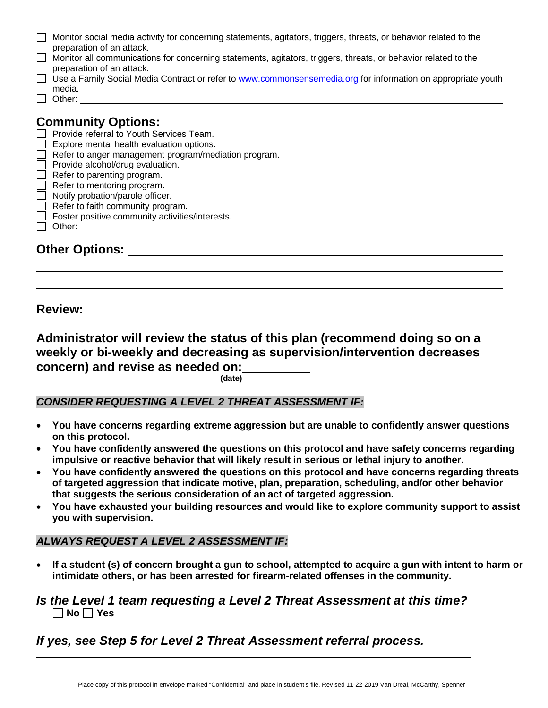| Monitor social media activity for concerning statements, agitators, triggers, threats, or behavior related to the |
|-------------------------------------------------------------------------------------------------------------------|
| preparation of an attack.                                                                                         |

- Monitor all communications for concerning statements, agitators, triggers, threats, or behavior related to the preparation of an attack.
- □ Use a Family Social Media Contract or refer to [www.commonsensemedia.org](http://www.commonsensemedia.org/) for information on appropriate youth
- media.  $\Box$  Other:

# **Community Options:**

- $\Box$  Provide referral to Youth Services Team.
- $\Box$  Explore mental health evaluation options.
- $\Box$  Refer to anger management program/mediation program.
- $\Box$  Provide alcohol/drug evaluation.
- $\Box$  Refer to parenting program.
- $\Box$  Refer to mentoring program.
- $\Box$  Notify probation/parole officer.
- $\Box$  Refer to faith community program.
- $\Box$  Foster positive community activities/interests.
- Other:

**Other Options:**

**Review:**

**Administrator will review the status of this plan (recommend doing so on a weekly or bi-weekly and decreasing as supervision/intervention decreases concern) and revise as needed on: (date)**

## *CONSIDER REQUESTING A LEVEL 2 THREAT ASSESSMENT IF:*

- **You have concerns regarding extreme aggression but are unable to confidently answer questions on this protocol.**
- **You have confidently answered the questions on this protocol and have safety concerns regarding impulsive or reactive behavior that will likely result in serious or lethal injury to another.**
- **You have confidently answered the questions on this protocol and have concerns regarding threats of targeted aggression that indicate motive, plan, preparation, scheduling, and/or other behavior that suggests the serious consideration of an act of targeted aggression.**
- **You have exhausted your building resources and would like to explore community support to assist you with supervision.**

## *ALWAYS REQUEST A LEVEL 2 ASSESSMENT IF:*

• **If a student (s) of concern brought a gun to school, attempted to acquire a gun with intent to harm or intimidate others, or has been arrested for firearm-related offenses in the community.**

## *Is the Level 1 team requesting a Level 2 Threat Assessment at this time?* **No Yes**

# *If yes, see Step 5 for Level 2 Threat Assessment referral process.*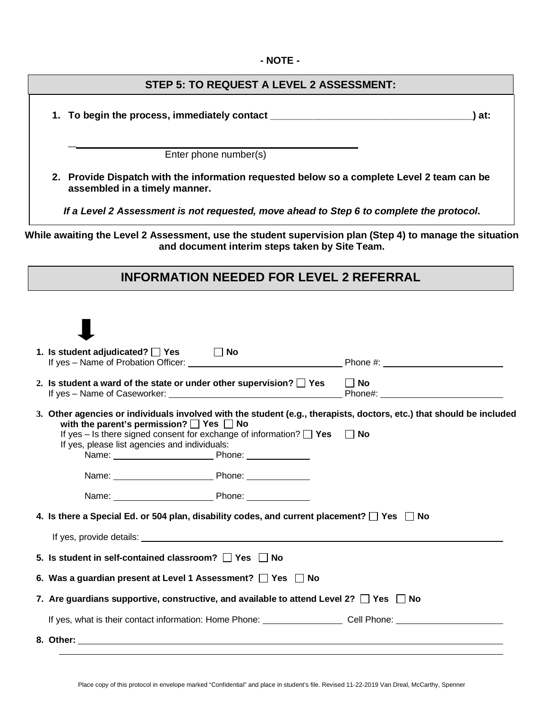### **- NOTE -**

## **STEP 5: TO REQUEST A LEVEL 2 ASSESSMENT:**

**1. To begin the process, immediately contact \_\_\_\_\_\_\_\_\_\_\_\_\_\_\_\_\_\_\_\_\_\_\_\_\_\_\_\_\_\_\_\_\_\_\_\_\_) at:**

**\_**

Enter phone number(s)

**2. Provide Dispatch with the information requested below so a complete Level 2 team can be assembled in a timely manner.**

*If a Level 2 Assessment is not requested, move ahead to Step 6 to complete the protocol***.**

**While awaiting the Level 2 Assessment, use the student supervision plan (Step 4) to manage the situation and document interim steps taken by Site Team.**

# **INFORMATION NEEDED FOR LEVEL 2 REFERRAL**

| 1. Is student adjudicated? $\Box$ Yes $\Box$ No                                                      |                                                                                    |                                                                                                                      |
|------------------------------------------------------------------------------------------------------|------------------------------------------------------------------------------------|----------------------------------------------------------------------------------------------------------------------|
| 2. Is student a ward of the state or under other supervision? $\Box$ Yes $\Box$ No                   |                                                                                    |                                                                                                                      |
| with the parent's permission? $\Box$ Yes $\Box$ No<br>If yes, please list agencies and individuals:  | If yes – Is there signed consent for exchange of information? $\Box$ Yes $\Box$ No | 3. Other agencies or individuals involved with the student (e.g., therapists, doctors, etc.) that should be included |
|                                                                                                      |                                                                                    |                                                                                                                      |
|                                                                                                      | Name: Phone: Phone:                                                                |                                                                                                                      |
| 4. Is there a Special Ed. or 504 plan, disability codes, and current placement? $\Box$ Yes $\Box$ No |                                                                                    |                                                                                                                      |
|                                                                                                      |                                                                                    |                                                                                                                      |
| 5. Is student in self-contained classroom? T Yes No                                                  |                                                                                    |                                                                                                                      |
| 6. Was a guardian present at Level 1 Assessment? $\Box$ Yes $\Box$ No                                |                                                                                    |                                                                                                                      |
| 7. Are guardians supportive, constructive, and available to attend Level 2? $\Box$ Yes $\Box$ No     |                                                                                    |                                                                                                                      |
|                                                                                                      |                                                                                    | If yes, what is their contact information: Home Phone: ______________________Cell Phone: _____________________       |
|                                                                                                      |                                                                                    |                                                                                                                      |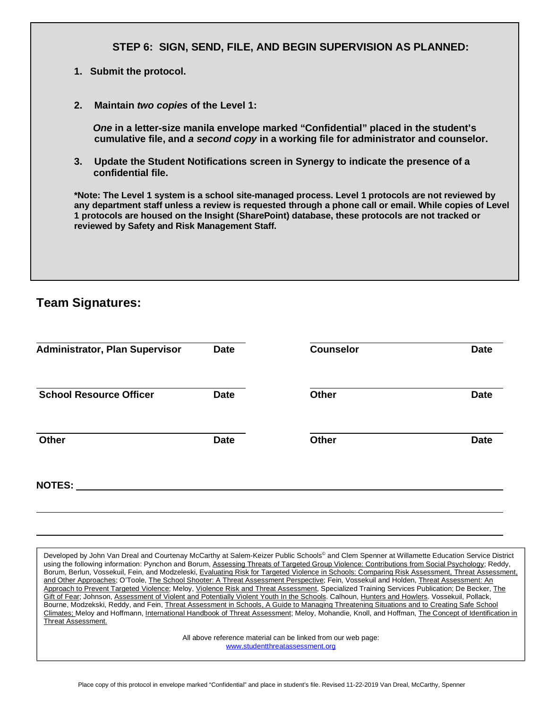|    | STEP 6: SIGN, SEND, FILE, AND BEGIN SUPERVISION AS PLANNED:                                                                                                                 |
|----|-----------------------------------------------------------------------------------------------------------------------------------------------------------------------------|
|    | 1. Submit the protocol.                                                                                                                                                     |
| 2. | Maintain two copies of the Level 1:                                                                                                                                         |
|    | One in a letter-size manila envelope marked "Confidential" placed in the student's<br>cumulative file, and a second copy in a working file for administrator and counselor. |

**3. Update the Student Notifications screen in Synergy to indicate the presence of a confidential file.** 

**\*Note: The Level 1 system is a school site-managed process. Level 1 protocols are not reviewed by any department staff unless a review is requested through a phone call or email. While copies of Level 1 protocols are housed on the Insight (SharePoint) database, these protocols are not tracked or reviewed by Safety and Risk Management Staff.**

# **Team Signatures:**

| <b>Administrator, Plan Supervisor</b> | <b>Date</b> | <b>Counselor</b> | <b>Date</b> |
|---------------------------------------|-------------|------------------|-------------|
| <b>School Resource Officer</b>        | <b>Date</b> | <b>Other</b>     | <b>Date</b> |
| <b>Other</b>                          | <b>Date</b> | <b>Other</b>     | <b>Date</b> |
| <b>NOTES:</b>                         |             |                  |             |

Developed by John Van Dreal and Courtenay McCarthy at Salem-Keizer Public Schools<sup>®</sup> and Clem Spenner at Willamette Education Service District using the following information: Pynchon and Borum, Assessing Threats of Targeted Group Violence: Contributions from Social Psychology; Reddy, Borum, Berlun, Vossekuil, Fein, and Modzeleski, Evaluating Risk for Targeted Violence in Schools: Comparing Risk Assessment, Threat Assessment, and Other Approaches; O'Toole, The School Shooter: A Threat Assessment Perspective; Fein, Vossekuil and Holden, Threat Assessment: An Approach to Prevent Targeted Violence; Meloy, Violence Risk and Threat Assessment, Specialized Training Services Publication; De Becker, The Gift of Fear; Johnson, Assessment of Violent and Potentially Violent Youth In the Schools. Calhoun, Hunters and Howlers. Vossekuil, Pollack, Bourne, Modzekski, Reddy, and Fein, Threat Assessment in Schools, A Guide to Managing Threatening Situations and to Creating Safe School Climates; Meloy and Hoffmann, International Handbook of Threat Assessment; Meloy, Mohandie, Knoll, and Hoffman, The Concept of Identification in Threat Assessment.

> All above reference material can be linked from our web page: [www.studentthreatassessment.org](http://www.studentthreatassessment.org/)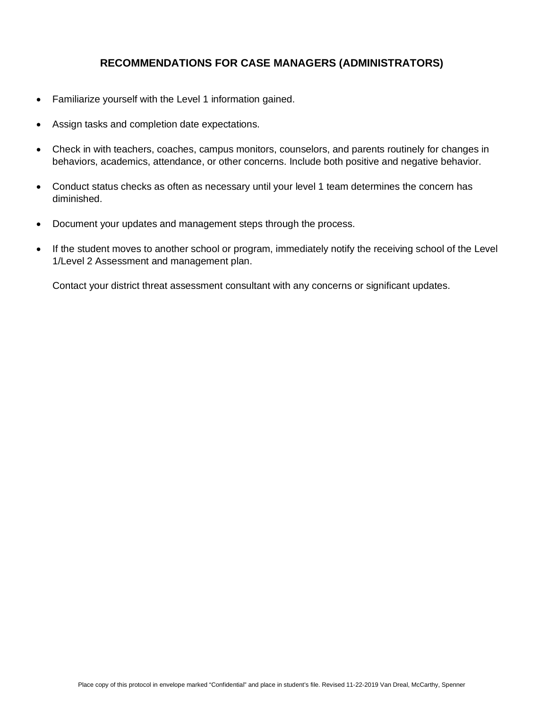## **RECOMMENDATIONS FOR CASE MANAGERS (ADMINISTRATORS)**

- Familiarize yourself with the Level 1 information gained.
- Assign tasks and completion date expectations.
- Check in with teachers, coaches, campus monitors, counselors, and parents routinely for changes in behaviors, academics, attendance, or other concerns. Include both positive and negative behavior.
- Conduct status checks as often as necessary until your level 1 team determines the concern has diminished.
- Document your updates and management steps through the process.
- If the student moves to another school or program, immediately notify the receiving school of the Level 1/Level 2 Assessment and management plan.

Contact your district threat assessment consultant with any concerns or significant updates.